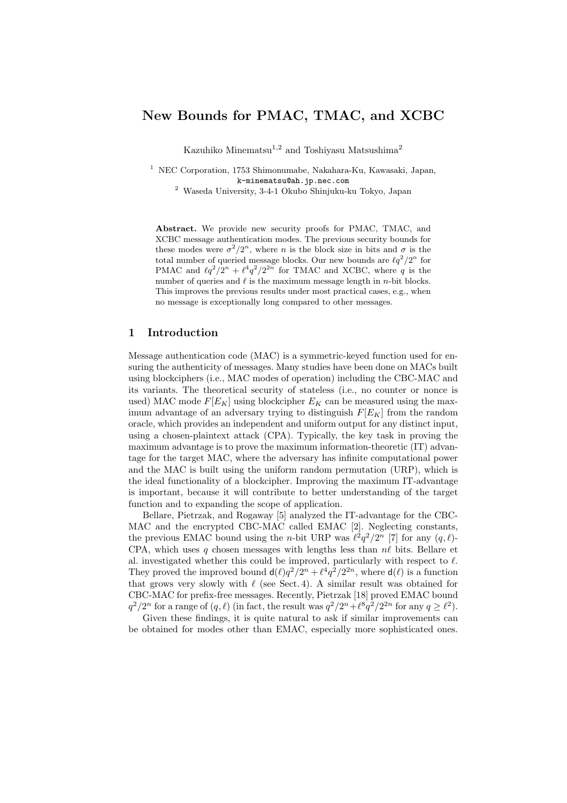# New Bounds for PMAC, TMAC, and XCBC

Kazuhiko Minematsu<sup>1,2</sup> and Toshiyasu Matsushima<sup>2</sup>

<sup>2</sup> Waseda University, 3-4-1 Okubo Shinjuku-ku Tokyo, Japan

Abstract. We provide new security proofs for PMAC, TMAC, and XCBC message authentication modes. The previous security bounds for these modes were  $\sigma^2/2^n$ , where *n* is the block size in bits and  $\sigma$  is the total number of queried message blocks. Our new bounds are  $\ell q^2/2^n$  for PMAC and  $\ell q^2/2^n + \ell^4 q^2/2^{2n}$  for TMAC and XCBC, where q is the number of queries and  $\ell$  is the maximum message length in *n*-bit blocks. This improves the previous results under most practical cases, e.g., when no message is exceptionally long compared to other messages.

# 1 Introduction

Message authentication code (MAC) is a symmetric-keyed function used for ensuring the authenticity of messages. Many studies have been done on MACs built using blockciphers (i.e., MAC modes of operation) including the CBC-MAC and its variants. The theoretical security of stateless (i.e., no counter or nonce is used) MAC mode  $F[E_K]$  using blockcipher  $E_K$  can be measured using the maximum advantage of an adversary trying to distinguish  $F[E_K]$  from the random oracle, which provides an independent and uniform output for any distinct input, using a chosen-plaintext attack (CPA). Typically, the key task in proving the maximum advantage is to prove the maximum information-theoretic (IT) advantage for the target MAC, where the adversary has infinite computational power and the MAC is built using the uniform random permutation (URP), which is the ideal functionality of a blockcipher. Improving the maximum IT-advantage is important, because it will contribute to better understanding of the target function and to expanding the scope of application.

Bellare, Pietrzak, and Rogaway [5] analyzed the IT-advantage for the CBC-MAC and the encrypted CBC-MAC called EMAC [2]. Neglecting constants, the previous EMAC bound using the *n*-bit URP was  $\ell^2 q^2/2^n$  [7] for any  $(q, \ell)$ -CPA, which uses q chosen messages with lengths less than  $n\ell$  bits. Bellare et al. investigated whether this could be improved, particularly with respect to  $\ell$ . They proved the improved bound  $d(\ell)q^2/2^n + \ell^4q^2/2^{2n}$ , where  $d(\ell)$  is a function that grows very slowly with  $\ell$  (see Sect. 4). A similar result was obtained for CBC-MAC for prefix-free messages. Recently, Pietrzak [18] proved EMAC bound  $q^2/2^n$  for a range of  $(q, \ell)$  (in fact, the result was  $q^2/2^n + \ell^8 q^2/2^{2n}$  for any  $q \geq \ell^2$ ).

Given these findings, it is quite natural to ask if similar improvements can be obtained for modes other than EMAC, especially more sophisticated ones.

<sup>1</sup> NEC Corporation, 1753 Shimonumabe, Nakahara-Ku, Kawasaki, Japan, k-minematsu@ah.jp.nec.com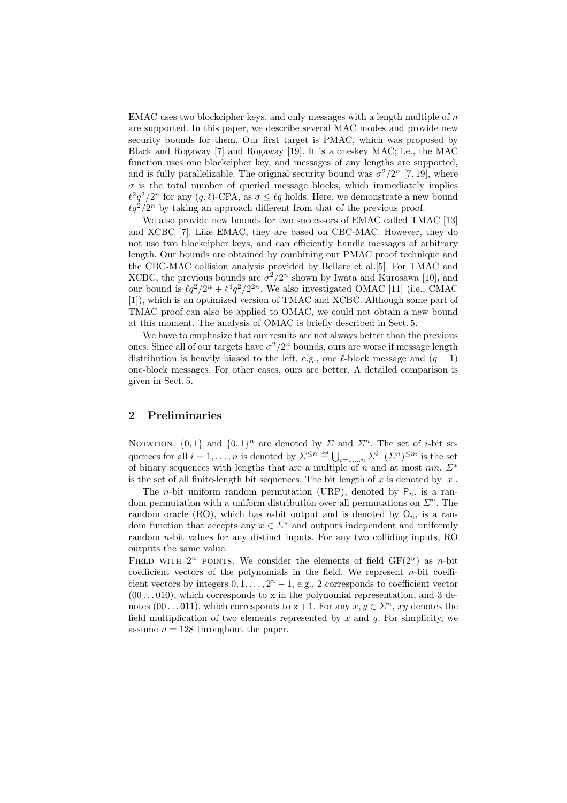EMAC uses two blockcipher keys, and only messages with a length multiple of n are supported. In this paper, we describe several MAC modes and provide new security bounds for them. Our first target is PMAC, which was proposed by Black and Rogaway [7] and Rogaway [19]. It is a one-key MAC; i.e., the MAC function uses one blockcipher key, and messages of any lengths are supported, and is fully parallelizable. The original security bound was  $\sigma^2/2^n$  [7, 19], where  $\sigma$  is the total number of queried message blocks, which immediately implies  $\ell^2 q^2/2^n$  for any  $(q, \ell)$ -CPA, as  $\sigma \leq \ell q$  holds. Here, we demonstrate a new bound  $\ell q^2/2^n$  by taking an approach different from that of the previous proof.

We also provide new bounds for two successors of EMAC called TMAC [13] and XCBC [7]. Like EMAC, they are based on CBC-MAC. However, they do not use two blockcipher keys, and can efficiently handle messages of arbitrary length. Our bounds are obtained by combining our PMAC proof technique and the CBC-MAC collision analysis provided by Bellare et al.[5]. For TMAC and XCBC, the previous bounds are  $\sigma^2/2^n$  shown by Iwata and Kurosawa [10], and our bound is  $\ell q^2/2^n + \ell^4 q^2/2^{2n}$ . We also investigated OMAC [11] (i.e., CMAC [1]), which is an optimized version of TMAC and XCBC. Although some part of TMAC proof can also be applied to OMAC, we could not obtain a new bound at this moment. The analysis of OMAC is briefly described in Sect. 5.

We have to emphasize that our results are not always better than the previous ones. Since all of our targets have  $\sigma^2/2^n$  bounds, ours are worse if message length distribution is heavily biased to the left, e.g., one  $\ell$ -block message and  $(q - 1)$ one-block messages. For other cases, ours are better. A detailed comparison is given in Sect. 5.

## 2 Preliminaries

NOTATION.  $\{0,1\}$  and  $\{0,1\}$ <sup>n</sup> are denoted by  $\Sigma$  and  $\Sigma$ <sup>n</sup>. The set of *i*-bit sequences for all  $i = 1, ..., n$  is denoted by  $\Sigma^{\leq n} \stackrel{\text{def}}{=} \bigcup_{i=1,...,n} \Sigma^i$ .  $(\Sigma^n)^{\leq m}$  is the set of binary sequences with lengths that are a multiple of n and at most nm.  $\Sigma^*$ is the set of all finite-length bit sequences. The bit length of x is denoted by  $|x|$ .

The *n*-bit uniform random permutation (URP), denoted by  $P_n$ , is a random permutation with a uniform distribution over all permutations on  $\mathbb{Z}^n$ . The random oracle (RO), which has *n*-bit output and is denoted by  $O_n$ , is a random function that accepts any  $x \in \Sigma^*$  and outputs independent and uniformly random n-bit values for any distinct inputs. For any two colliding inputs, RO outputs the same value.

FIELD WITH  $2^n$  POINTS. We consider the elements of field  $GF(2^n)$  as n-bit coefficient vectors of the polynomials in the field. We represent  $n$ -bit coefficient vectors by integers  $0, 1, \ldots, 2<sup>n</sup> - 1$ , e.g., 2 corresponds to coefficient vector  $(00 \ldots 010)$ , which corresponds to x in the polynomial representation, and 3 denotes  $(00...011)$ , which corresponds to  $x+1$ . For any  $x, y \in \mathbb{Z}^n$ , xy denotes the field multiplication of two elements represented by x and  $y$ . For simplicity, we assume  $n = 128$  throughout the paper.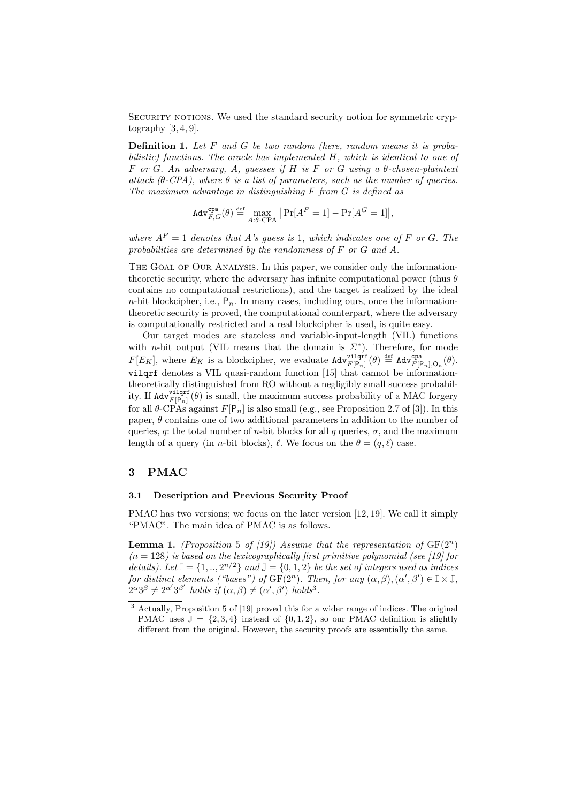Security notions. We used the standard security notion for symmetric cryptography  $[3, 4, 9]$ .

**Definition 1.** Let  $F$  and  $G$  be two random (here, random means it is probabilistic) functions. The oracle has implemented H, which is identical to one of F or G. An adversary, A, guesses if H is F or G using a θ-chosen-plaintext attack  $(\theta$ -CPA), where  $\theta$  is a list of parameters, such as the number of queries. The maximum advantage in distinguishing  $F$  from  $G$  is defined as

$$
\mathsf{Adv}_{F,G}^{\mathsf{cpa}}(\theta) \stackrel{\textrm{\tiny{def}}}{=} \max_{A:\theta\text{-CPA}}\big|\Pr[A^F=1] - \Pr[A^G=1]\big|,
$$

where  $A^F = 1$  denotes that A's guess is 1, which indicates one of F or G. The probabilities are determined by the randomness of F or G and A.

THE GOAL OF OUR ANALYSIS. In this paper, we consider only the informationtheoretic security, where the adversary has infinite computational power (thus  $\theta$ ) contains no computational restrictions), and the target is realized by the ideal  $n$ -bit blockcipher, i.e.,  $P_n$ . In many cases, including ours, once the informationtheoretic security is proved, the computational counterpart, where the adversary is computationally restricted and a real blockcipher is used, is quite easy.

Our target modes are stateless and variable-input-length (VIL) functions with *n*-bit output (VIL means that the domain is  $\Sigma^*$ ). Therefore, for mode  $F[E_K]$ , where  $E_K$  is a blockcipher, we evaluate  $\text{Adv}_{F[P_n]}^{\text{vilqrf}}(\theta) \stackrel{\text{def}}{=} \text{Adv}_{F[P_n],\mathcal{O}_n}^{\text{cpa}}(\theta)$ . vilqrf denotes a VIL quasi-random function [15] that cannot be informationtheoretically distinguished from RO without a negligibly small success probability. If  $\text{Adv}_{F[P_n]}^{\text{vilqrf}}(\theta)$  is small, the maximum success probability of a MAC forgery for all  $\theta$ -CPAs against  $F[P_n]$  is also small (e.g., see Proposition 2.7 of [3]). In this paper,  $\theta$  contains one of two additional parameters in addition to the number of queries, q: the total number of n-bit blocks for all q queries,  $\sigma$ , and the maximum length of a query (in *n*-bit blocks),  $\ell$ . We focus on the  $\theta = (q, \ell)$  case.

### 3 PMAC

### 3.1 Description and Previous Security Proof

PMAC has two versions; we focus on the later version [12, 19]. We call it simply "PMAC". The main idea of PMAC is as follows.

**Lemma 1.** (Proposition 5 of [19]) Assume that the representation of  $GF(2^n)$  $(n = 128)$  is based on the lexicographically first primitive polynomial (see [19] for details). Let  $\mathbb{I} = \{1, ..., 2^{n/2}\}\$ and  $\mathbb{J} = \{0, 1, 2\}\$ be the set of integers used as indices for distinct elements ("bases") of  $GF(2^n)$ . Then, for any  $(\alpha, \beta), (\alpha', \beta') \in \mathbb{I} \times \mathbb{J}$ ,  $2^{\alpha}3^{\beta} \neq 2^{\alpha'}3^{\beta'}$  holds if  $(\alpha, \beta) \neq (\alpha', \beta')$  holds<sup>3</sup>.

<sup>3</sup> Actually, Proposition 5 of [19] proved this for a wider range of indices. The original PMAC uses  $\mathbb{J} = \{2, 3, 4\}$  instead of  $\{0, 1, 2\}$ , so our PMAC definition is slightly different from the original. However, the security proofs are essentially the same.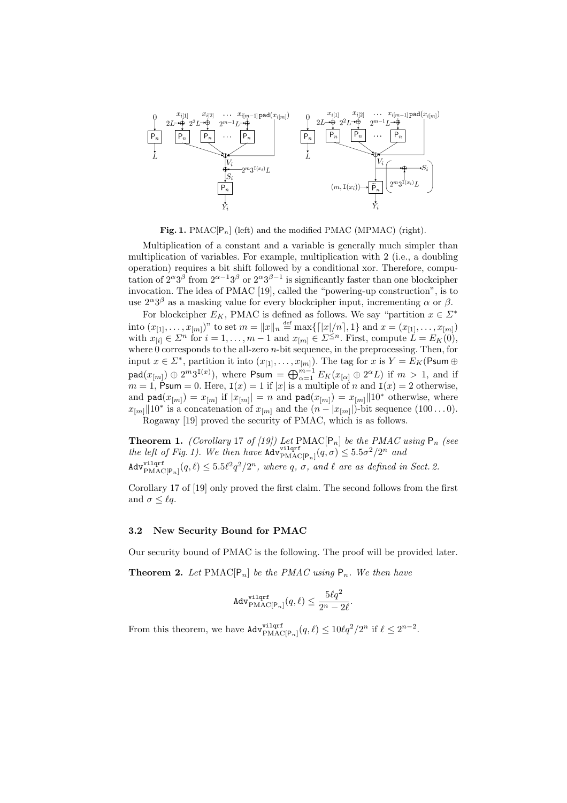

Fig. 1. PMAC $[P_n]$  (left) and the modified PMAC (MPMAC) (right).

Multiplication of a constant and a variable is generally much simpler than multiplication of variables. For example, multiplication with 2 (i.e., a doubling operation) requires a bit shift followed by a conditional xor. Therefore, computation of  $2^{\alpha}3^{\beta}$  from  $2^{\alpha-1}3^{\beta}$  or  $2^{\alpha}3^{\beta-1}$  is significantly faster than one blockcipher invocation. The idea of PMAC [19], called the "powering-up construction", is to use  $2^{\alpha}3^{\beta}$  as a masking value for every blockcipher input, incrementing  $\alpha$  or  $\beta$ .

For blockcipher  $E_K$ , PMAC is defined as follows. We say "partition  $x \in \Sigma^*$ into  $(x_{[1]}, \ldots, x_{[m]})$ " to set  $m = ||x||_n \stackrel{\text{def}}{=} \max\{[|x|/n], 1\}$  and  $x = (x_{[1]}, \ldots, x_{[m]})$ with  $x_{[i]} \in \Sigma^n$  for  $i = 1, \ldots, m-1$  and  $x_{[m]} \in \Sigma^{\leq n}$ . First, compute  $L = E_K(0)$ , where  $0$  corresponds to the all-zero *n*-bit sequence, in the preprocessing. Then, for input  $x \in \Sigma^*$ , partition it into  $(x_{[1]}, \ldots, x_{[m]})$ . The tag for x is  $Y = E_K(\text{Psum } \oplus \text{Psum } \oplus \text{Psum } \oplus \text{Psum } \oplus \text{Psum } \oplus \text{Psum } \oplus \text{Psum } \oplus \text{Psum } \oplus \text{Psum } \oplus \text{Psum } \oplus \text{Psum } \oplus \text{Psum } \oplus \text{Psum } \oplus \text{Psum } \oplus \text{Psum } \oplus \text{Psum } \oplus \$  $p_{\text{rad}}(x_{[m]}) \oplus 2^m 3^{\text{I}(x)}$ , where  $\text{Psum} = \bigoplus_{\alpha=1}^{m-1} E_K(x_{[\alpha]} \oplus 2^{\alpha} L)$  if  $m > 1$ , and if  $m = 1$ , Psum = 0. Here,  $I(x) = 1$  if |x| is a multiple of n and  $I(x) = 2$  otherwise, and  $\text{pad}(x_{[m]}) = x_{[m]}$  if  $|x_{[m]}| = n$  and  $\text{pad}(x_{[m]}) = x_{[m]}||10^*$  otherwise, where  $x_{[m]} \| 10^*$  is a concatenation of  $x_{[m]}$  and the  $(n - |x_{[m]}|)$ -bit sequence  $(100 \dots 0)$ . Rogaway [19] proved the security of PMAC, which is as follows.

**Theorem 1.** (Corollary 17 of [19]) Let  $\text{PMAC}[P_n]$  be the PMAC using  $P_n$  (see the left of Fig. 1). We then have  $\text{Adv}_{\text{PMAC}[P_n]}^{v \text{ilqrf}}(q, \sigma) \leq 5.5\sigma^2/2^n$  and  $\text{Adv}_{\text{PMAC}[\mathsf{P}_n]}^{\text{vilqrf}}(q,\ell) \leq 5.5\ell^2q^2/2^n$ , where q,  $\sigma$ , and  $\ell$  are as defined in Sect. 2.

Corollary 17 of [19] only proved the first claim. The second follows from the first and  $\sigma \leq \ell q$ .

### 3.2 New Security Bound for PMAC

Our security bound of PMAC is the following. The proof will be provided later.

**Theorem 2.** Let  $\text{PMAC}[\mathsf{P}_n]$  be the  $\text{PMAC}$  using  $\mathsf{P}_n$ . We then have

$$
\mathtt{Adv}_{\mathrm{PMAC[P}_n]}^{\mathrm{vilqrf}}(q,\ell) \leq \frac{5\ell q^2}{2^n-2\ell}.
$$

From this theorem, we have  $\text{Adv}_{\text{PMAC}[\mathsf{P}_n]}^{\text{vilqrf}}(q,\ell) \leq 10\ell q^2/2^n$  if  $\ell \leq 2^{n-2}$ .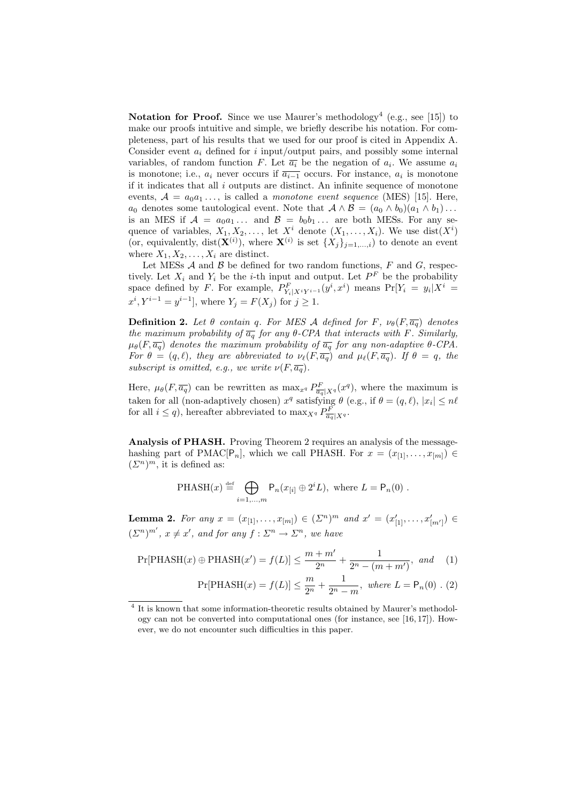Notation for Proof. Since we use Maurer's methodology<sup>4</sup> (e.g., see [15]) to make our proofs intuitive and simple, we briefly describe his notation. For completeness, part of his results that we used for our proof is cited in Appendix A. Consider event  $a_i$  defined for i input/output pairs, and possibly some internal variables, of random function F. Let  $\overline{a_i}$  be the negation of  $a_i$ . We assume  $a_i$ is monotone; i.e.,  $a_i$  never occurs if  $\overline{a_{i-1}}$  occurs. For instance,  $a_i$  is monotone if it indicates that all  $i$  outputs are distinct. An infinite sequence of monotone events,  $A = a_0 a_1 \ldots$ , is called a monotone event sequence (MES) [15]. Here,  $a_0$  denotes some tautological event. Note that  $\mathcal{A} \wedge \mathcal{B} = (a_0 \wedge b_0)(a_1 \wedge b_1) \dots$ is an MES if  $A = a_0 a_1 \dots$  and  $B = b_0 b_1 \dots$  are both MESs. For any sequence of variables,  $X_1, X_2, \ldots$ , let  $X^i$  denote  $(X_1, \ldots, X_i)$ . We use  $dist(X^i)$ (or, equivalently, dist( $\mathbf{X}^{(i)}$ ), where  $\mathbf{X}^{(i)}$  is set  $\{X_j\}_{j=1,\ldots,i}$ ) to denote an event where  $X_1, X_2, \ldots, X_i$  are distinct.

Let MESs  $A$  and  $B$  be defined for two random functions,  $F$  and  $G$ , respectively. Let  $X_i$  and  $Y_i$  be the *i*-th input and output. Let  $P^F$  be the probability space defined by F. For example,  $P_{Y_i|X^iY^{i-1}}^F(y^i, x^i)$  means  $Pr[Y_i = y_i|X^i =$  $x^{i}, Y^{i-1} = y^{i-1}$ , where  $Y_{j} = F(X_{j})$  for  $j \geq 1$ .

**Definition 2.** Let  $\theta$  contain q. For MES A defined for F,  $\nu_{\theta}(F, \overline{a_q})$  denotes the maximum probability of  $\overline{a_q}$  for any  $\theta$ -CPA that interacts with F. Similarly,  $\mu_{\theta}(F, \overline{a_q})$  denotes the maximum probability of  $\overline{a_q}$  for any non-adaptive  $\theta$ -CPA. For  $\theta = (q, \ell)$ , they are abbreviated to  $\nu_{\ell}(F, \overline{a_q})$  and  $\mu_{\ell}(F, \overline{a_q})$ . If  $\theta = q$ , the subscript is omitted, e.g., we write  $\nu(F, \overline{a_q})$ .

Here,  $\mu_{\theta}(F, \overline{a_q})$  can be rewritten as  $\max_{x} P_{\overline{a_q}|X^q}(x^q)$ , where the maximum is taken for all (non-adaptively chosen)  $x^q$  satisfying  $\theta$  (e.g., if  $\theta = (q, \ell), |x_i| \leq n\ell$ for all  $i \leq q$ , hereafter abbreviated to  $\max_{X^q} P_{\overline{a_q}|X^q}^F$ .

Analysis of PHASH. Proving Theorem 2 requires an analysis of the messagehashing part of PMAC[P<sub>n</sub>], which we call PHASH. For  $x = (x_{[1]}, \ldots, x_{[m]}) \in$  $(\Sigma^n)^m$ , it is defined as:

$$
\text{PHASH}(x) \stackrel{\text{def}}{=} \bigoplus_{i=1,\dots,m} \mathsf{P}_n(x_{[i]} \oplus 2^i L), \text{ where } L = \mathsf{P}_n(0) .
$$

**Lemma 2.** For any  $x = (x_{[1]}, \ldots, x_{[m]}) \in (\Sigma^n)^m$  and  $x' = (x'_{[1]}, \ldots, x'_{[m']}) \in$  $(\Sigma^n)^{m'}$ ,  $x \neq x'$ , and for any  $f : \Sigma^n \to \Sigma^n$ , we have

$$
\Pr[\text{PHASH}(x) \oplus \text{PHASH}(x') = f(L)] \le \frac{m + m'}{2^n} + \frac{1}{2^n - (m + m')} \text{, and} \quad (1)
$$

$$
Pr[PHASH(x) = f(L)] \le \frac{m}{2^n} + \frac{1}{2^n - m}, \text{ where } L = P_n(0) . (2)
$$

<sup>&</sup>lt;sup>4</sup> It is known that some information-theoretic results obtained by Maurer's methodology can not be converted into computational ones (for instance, see [16, 17]). However, we do not encounter such difficulties in this paper.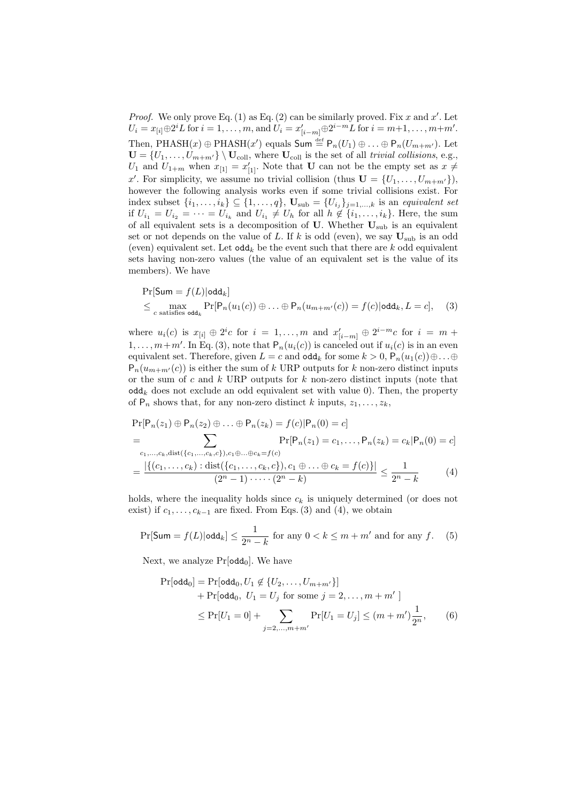*Proof.* We only prove Eq. (1) as Eq. (2) can be similarly proved. Fix x and  $x'$ . Let  $U_i = x_{[i]} \oplus 2^i L$  for  $i = 1, ..., m$ , and  $U_i = x'_{[i-m]} \oplus 2^{i-m} L$  for  $i = m+1, ..., m+m'$ . Then, PHASH(x)  $\oplus$  PHASH(x') equals Sum  $\stackrel{\text{def}}{=}$   $\mathsf{P}_n(U_1) \oplus \ldots \oplus \mathsf{P}_n(U_{m+m'})$ . Let  $\mathbf{U} = \{U_1, \ldots, U_{m+m'}\} \setminus \mathbf{U}_{\text{coll}}$ , where  $\mathbf{U}_{\text{coll}}$  is the set of all trivial collisions, e.g.,  $U_1$  and  $U_{1+m}$  when  $x_{[1]} = x'_{[1]}$ . Note that **U** can not be the empty set as  $x \neq 0$ x'. For simplicity, we assume no trivial collision (thus  $\mathbf{U} = \{U_1, \ldots, U_{m+m'}\}\)$ , however the following analysis works even if some trivial collisions exist. For index subset  $\{i_1, \ldots, i_k\} \subseteq \{1, \ldots, q\}$ ,  $\mathbf{U}_{\text{sub}} = \{U_{i_j}\}_{j=1,\ldots,k}$  is an equivalent set if  $U_{i_1} = U_{i_2} = \cdots = U_{i_k}$  and  $U_{i_1} \neq U_h$  for all  $h \notin \{i_1, \ldots, i_k\}$ . Here, the sum of all equivalent sets is a decomposition of  $U$ . Whether  $U_{sub}$  is an equivalent set or not depends on the value of L. If k is odd (even), we say  $U_{sub}$  is an odd (even) equivalent set. Let  $\text{odd}_k$  be the event such that there are k odd equivalent sets having non-zero values (the value of an equivalent set is the value of its members). We have

$$
\Pr[\mathsf{Sum} = f(L)|\mathsf{odd}_k]
$$
\n
$$
\leq \max_{c \text{ satisfies } \mathsf{odd}_k} \Pr[\mathsf{P}_n(u_1(c)) \oplus \ldots \oplus \mathsf{P}_n(u_{m+m'}(c)) = f(c)|\mathsf{odd}_k, L = c], \quad (3)
$$

where  $u_i(c)$  is  $x_{[i]} \oplus 2^i c$  for  $i = 1, \ldots, m$  and  $x'_{[i-m]} \oplus 2^{i-m} c$  for  $i = m +$  $1, \ldots, m+m'$ . In Eq. (3), note that  $P_n(u_i(c))$  is canceled out if  $u_i(c)$  is in an even equivalent set. Therefore, given  $L = c$  and  $\text{odd}_k$  for some  $k > 0$ ,  $P_n(u_1(c)) \oplus ... \oplus$  $P_n(u_{m+m'}(c))$  is either the sum of k URP outputs for k non-zero distinct inputs or the sum of c and  $k$  URP outputs for  $k$  non-zero distinct inputs (note that  $\text{odd}_k$  does not exclude an odd equivalent set with value 0). Then, the property of  $P_n$  shows that, for any non-zero distinct k inputs,  $z_1, \ldots, z_k$ ,

$$
\Pr[P_n(z_1) \oplus P_n(z_2) \oplus \ldots \oplus P_n(z_k) = f(c)|P_n(0) = c]
$$
\n
$$
= \sum_{\substack{c_1, \ldots, c_k, \text{dist}(\{c_1, \ldots, c_k, c\}), c_1 \oplus \ldots \oplus c_k = f(c)}} \Pr[P_n(z_1) = c_1, \ldots, P_n(z_k) = c_k | P_n(0) = c]
$$
\n
$$
= \frac{|\{(c_1, \ldots, c_k) : \text{dist}(\{c_1, \ldots, c_k, c\}), c_1 \oplus \ldots \oplus c_k = f(c)\}|}{(2^n - 1) \cdots (2^n - k)} \le \frac{1}{2^n - k} \tag{4}
$$

holds, where the inequality holds since  $c_k$  is uniquely determined (or does not exist) if  $c_1, \ldots, c_{k-1}$  are fixed. From Eqs. (3) and (4), we obtain

$$
\Pr[\mathsf{Sum} = f(L)|\mathsf{odd}_k] \le \frac{1}{2^n - k} \text{ for any } 0 < k \le m + m' \text{ and for any } f. \tag{5}
$$

Next, we analyze  $Pr[odd_0]$ . We have

$$
\Pr[\text{odd}_0] = \Pr[\text{odd}_0, U_1 \notin \{U_2, \dots, U_{m+m'}\}] \n+ \Pr[\text{odd}_0, U_1 = U_j \text{ for some } j = 2, \dots, m+m' \]
$$
\n
$$
\leq \Pr[U_1 = 0] + \sum_{j=2, \dots, m+m'} \Pr[U_1 = U_j] \leq (m+m') \frac{1}{2^n}, \tag{6}
$$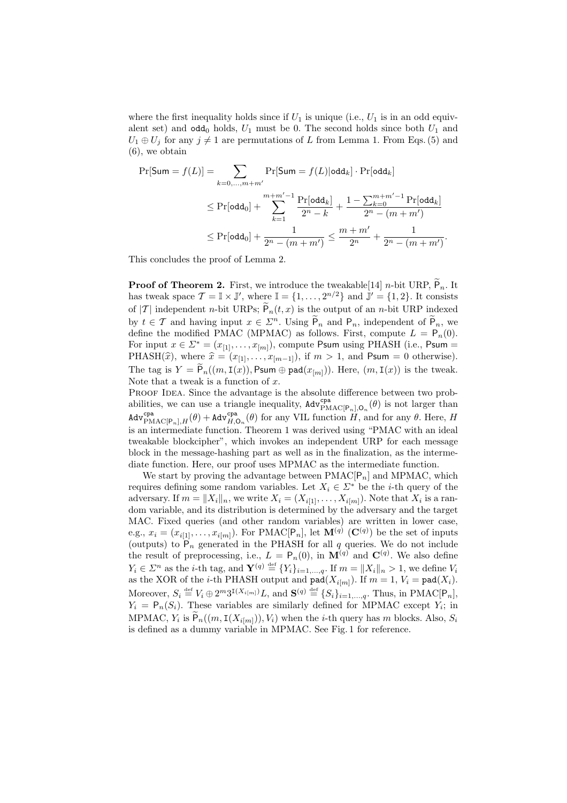where the first inequality holds since if  $U_1$  is unique (i.e.,  $U_1$  is in an odd equivalent set) and  $\text{odd}_0$  holds,  $U_1$  must be 0. The second holds since both  $U_1$  and  $U_1 \oplus U_j$  for any  $j \neq 1$  are permutations of L from Lemma 1. From Eqs. (5) and (6), we obtain

$$
\Pr[\mathsf{Sum} = f(L)] = \sum_{k=0,...,m+m'} \Pr[\mathsf{Sum} = f(L)|\mathsf{odd}_k] \cdot \Pr[\mathsf{odd}_k]
$$
\n
$$
\leq \Pr[\mathsf{odd}_0] + \sum_{k=1}^{m+m'-1} \frac{\Pr[\mathsf{odd}_k]}{2^n - k} + \frac{1 - \sum_{k=0}^{m+m'-1} \Pr[\mathsf{odd}_k]}{2^n - (m+m')}
$$
\n
$$
\leq \Pr[\mathsf{odd}_0] + \frac{1}{2^n - (m+m')} \leq \frac{m+m'}{2^n} + \frac{1}{2^n - (m+m')}.
$$

This concludes the proof of Lemma 2.

**Proof of Theorem 2.** First, we introduce the tweakable [14] n-bit URP,  $\widetilde{P}_n$ . It has tweak space  $\mathcal{T} = \mathbb{I} \times \mathbb{J}'$ , where  $\mathbb{I} = \{1, \ldots, 2^{n/2}\}\$  and  $\mathbb{J}' = \{1, 2\}$ . It consists of  $|\mathcal{T}|$  independent *n*-bit URPs;  $\widetilde{P}_n(t,x)$  is the output of an *n*-bit URP indexed by  $t \in \mathcal{T}$  and having input  $x \in \mathbb{Z}^n$ . Using  $\tilde{\mathsf{P}}_n$  and  $\mathsf{P}_n$ , independent of  $\tilde{\mathsf{P}}_n$ , we define the modified PMAC (MPMAC) as follows. First, compute  $L = P_n(0)$ . For input  $x \in \Sigma^* = (x_{[1]}, \ldots, x_{[m]})$ , compute Psum using PHASH (i.e., Psum = PHASH( $\hat{x}$ ), where  $\hat{x} = (x_{[1]}, \ldots, x_{[m-1]})$ , if  $m > 1$ , and Psum = 0 otherwise). The tag is  $Y = \widetilde{P}_n((m, I(x)), P_{\text{sum}} \oplus \text{pad}(x_{[m]})).$  Here,  $(m, I(x))$  is the tweak. Note that a tweak is a function of  $x$ .

PROOF IDEA. Since the advantage is the absolute difference between two probabilities, we can use a triangle inequality,  $\text{Adv}_{\text{PMAC}[P_n],\mathcal{O}_n}^{\text{cpa}}(\theta)$  is not larger than  $\text{Adv}_{\text{PMAC}[P_n],H}^{\text{cpa}}(\theta) + \text{Adv}_{H,\mathcal{O}_n}^{\text{cpa}}(\theta)$  for any VIL function  $H$ , and for any  $\theta$ . Here,  $H$ is an intermediate function. Theorem 1 was derived using "PMAC with an ideal tweakable blockcipher", which invokes an independent URP for each message block in the message-hashing part as well as in the finalization, as the intermediate function. Here, our proof uses MPMAC as the intermediate function.

We start by proving the advantage between  $PMAC[P_n]$  and MPMAC, which requires defining some random variables. Let  $X_i \in \Sigma^*$  be the *i*-th query of the adversary. If  $m = ||X_i||_n$ , we write  $X_i = (X_{i[1]}, \ldots, X_{i[m]})$ . Note that  $X_i$  is a random variable, and its distribution is determined by the adversary and the target MAC. Fixed queries (and other random variables) are written in lower case, e.g.,  $x_i = (x_{i[1]}, \ldots, x_{i[m]})$ . For PMAC[P<sub>n</sub>], let  $\mathbf{M}^{(q)}$  (C<sup>(q)</sup>) be the set of inputs (outputs) to  $P_n$  generated in the PHASH for all q queries. We do not include the result of preprocessing, i.e.,  $L = \mathsf{P}_n(0)$ , in  $\mathbf{M}^{(q)}$  and  $\mathbf{C}^{(q)}$ . We also define  $Y_i \in \mathbb{Z}^n$  as the *i*-th tag, and  $\mathbf{Y}^{(q)} \stackrel{\text{def}}{=} \{Y_i\}_{i=1,\dots,q}$ . If  $m = ||X_i||_n > 1$ , we define  $V_i$ as the XOR of the *i*-th PHASH output and  $\text{pad}(X_{i[m]})$ . If  $m = 1, V_i = \text{pad}(X_i)$ . Moreover,  $S_i \stackrel{\text{def}}{=} V_i \oplus 2^m 3^{\mathbf{I}(X_{i[m]})} L$ , and  $\mathbf{S}^{(q)} \stackrel{\text{def}}{=} \{S_i\}_{i=1,\dots,q}$ . Thus, in PMAC[P<sub>n</sub>],  $Y_i = \mathsf{P}_n(S_i)$ . These variables are similarly defined for MPMAC except  $Y_i$ ; in MPMAC,  $Y_i$  is  $\widetilde{P}_n((m, \mathrm{I}(X_{i[m]})), V_i)$  when the *i*-th query has m blocks. Also,  $S_i$ is defined as a dummy variable in MPMAC. See Fig. 1 for reference.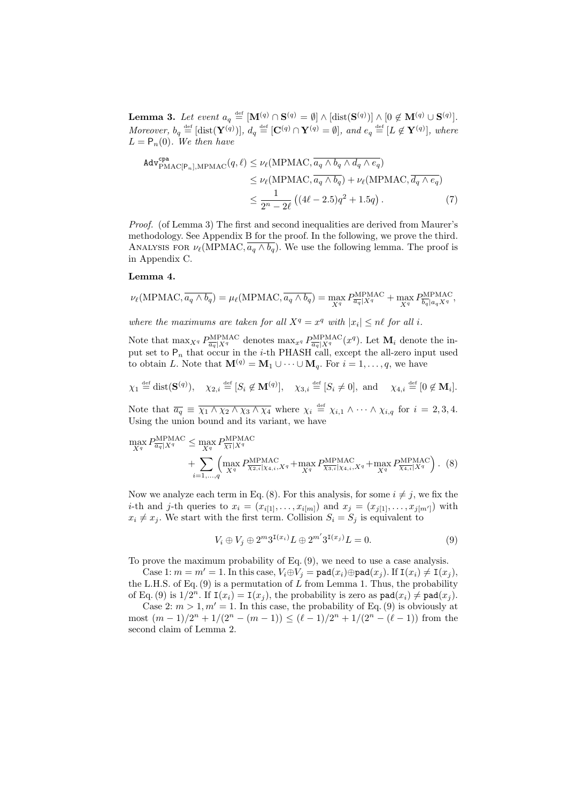Lemma 3. Let event  $a_q \stackrel{\text{def}}{=} [\mathbf{M}^{(q)} \cap \mathbf{S}^{(q)} = \emptyset] \wedge [\text{dist}(\mathbf{S}^{(q)})] \wedge [0 \notin \mathbf{M}^{(q)} \cup \mathbf{S}^{(q)}].$ Moreover,  $b_q \stackrel{\text{def}}{=} [\text{dist}(\mathbf{Y}^{(q)})], d_q \stackrel{\text{def}}{=} [\mathbf{C}^{(q)} \cap \mathbf{Y}^{(q)} = \emptyset],$  and  $e_q \stackrel{\text{def}}{=} [L \not\in \mathbf{Y}^{(q)}],$  where  $L = P_n(0)$ . We then have

$$
\begin{split} \text{Adv}_{\text{PMAC[P_n], MPMAC}}^{\text{cpa}}(q, \ell) &\leq \nu_{\ell}(\text{MPMAC}, \overline{a_q \wedge b_q \wedge d_q \wedge e_q}) \\ &\leq \nu_{\ell}(\text{MPMAC}, \overline{a_q \wedge b_q}) + \nu_{\ell}(\text{MPMAC}, \overline{d_q \wedge e_q}) \\ &\leq \frac{1}{2^n - 2\ell} \left( (4\ell - 2.5)q^2 + 1.5q \right). \end{split} \tag{7}
$$

Proof. (of Lemma 3) The first and second inequalities are derived from Maurer's methodology. See Appendix B for the proof. In the following, we prove the third. ANALYSIS FOR  $\nu_{\ell}(\text{MPMAC}, \overline{a_q \wedge b_q})$ . We use the following lemma. The proof is in Appendix C.

### Lemma 4.

$$
\nu_{\ell}(\text{MPMAC}, \overline{a_q \wedge b_q}) = \mu_{\ell}(\text{MPMAC}, \overline{a_q \wedge b_q}) = \max_{X^q} P_{\overline{a_q}|X^q}^{\text{MPMAC}} + \max_{X^q} P_{\overline{b_q}|a_qX^q}^{\text{MPMAC}},
$$

where the maximums are taken for all  $X^q = x^q$  with  $|x_i| \leq n\ell$  for all i.

Note that  $\max_{X^q} P^{\text{MPMAC}}_{\overline{a_q}|X^q}$  denotes  $\max_{x^q} P^{\text{MPMAC}}_{\overline{a_q}|X^q}$ . Let  $\mathbf{M}_i$  denote the input set to  $P_n$  that occur in the *i*-th PHASH call, except the all-zero input used to obtain L. Note that  $\mathbf{M}^{(q)} = \mathbf{M}_1 \cup \cdots \cup \mathbf{M}_q$ . For  $i = 1, \ldots, q$ , we have

$$
\chi_1 \stackrel{\text{def}}{=} \text{dist}(\mathbf{S}^{(q)}), \quad \chi_{2,i} \stackrel{\text{def}}{=} [S_i \notin \mathbf{M}^{(q)}], \quad \chi_{3,i} \stackrel{\text{def}}{=} [S_i \neq 0], \text{ and } \quad \chi_{4,i} \stackrel{\text{def}}{=} [0 \notin \mathbf{M}_i].
$$

Note that  $\overline{a_q} \equiv \overline{\chi_1 \wedge \chi_2 \wedge \chi_3 \wedge \chi_4}$  where  $\chi_i \stackrel{\text{def}}{=} \chi_{i,1} \wedge \cdots \wedge \chi_{i,q}$  for  $i = 2,3,4$ . Using the union bound and its variant, we have

$$
\max_{X^q} P_{\overline{a_q}|X^q}^{\text{MPMAC}} \le \max_{X^q} P_{\overline{X_1}|X^q}^{\text{MPMAC}} + \sum_{i=1,\dots,q} \left( \max_{X^q} P_{\overline{X_2,i}|X_4,i,X^q}^{\text{MPMAC}} + \max_{X^q} P_{\overline{X_3,i}|X_4,i,X^q}^{\text{MPMAC}} + \max_{X^q} P_{\overline{X_4,i}|X^q}^{\text{MPMAC}} \right). (8)
$$

Now we analyze each term in Eq. (8). For this analysis, for some  $i \neq j$ , we fix the *i*-th and *j*-th queries to  $x_i = (x_{i[1]}, \ldots, x_{i[m]})$  and  $x_j = (x_{j[1]}, \ldots, x_{j[m']})$  with  $x_i \neq x_j$ . We start with the first term. Collision  $S_i = S_j$  is equivalent to

$$
V_i \oplus V_j \oplus 2^m 3^{\mathbf{I}(x_i)} L \oplus 2^{m'} 3^{\mathbf{I}(x_j)} L = 0.
$$
 (9)

To prove the maximum probability of Eq. (9), we need to use a case analysis.

Case 1:  $m = m' = 1$ . In this case,  $V_i \oplus V_j = \text{pad}(x_i) \oplus \text{pad}(x_j)$ . If  $I(x_i) \neq I(x_j)$ , the L.H.S. of Eq.  $(9)$  is a permutation of L from Lemma 1. Thus, the probability of Eq. (9) is  $1/2^n$ . If  $I(x_i) = I(x_j)$ , the probability is zero as  $\text{pad}(x_i) \neq \text{pad}(x_j)$ .

Case 2:  $m > 1, m' = 1$ . In this case, the probability of Eq. (9) is obviously at most  $(m-1)/2^{n} + 1/(2^{n} - (m-1)) \leq (\ell-1)/2^{n} + 1/(2^{n} - (\ell-1))$  from the second claim of Lemma 2.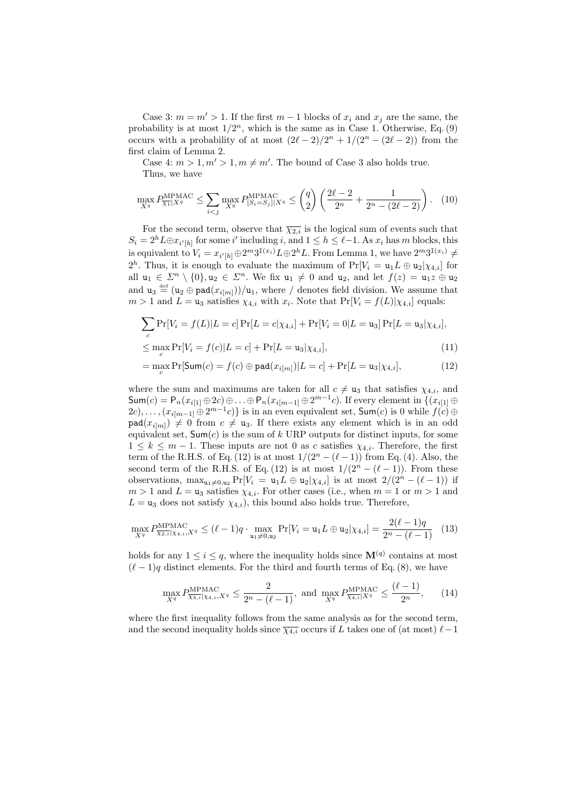Case 3:  $m = m' > 1$ . If the first  $m - 1$  blocks of  $x_i$  and  $x_j$  are the same, the probability is at most  $1/2^n$ , which is the same as in Case 1. Otherwise, Eq. (9) occurs with a probability of at most  $(2\ell - 2)/2^n + 1/(2^n - (2\ell - 2))$  from the first claim of Lemma 2.

Case 4:  $m > 1, m' > 1, m \neq m'$ . The bound of Case 3 also holds true. Thus, we have

$$
\max_{X^q} P_{\overline{X_1}|X^q}^{\text{MPMAC}} \le \sum_{i < j} \max_{X^q} P_{[S_i = S_j]|X^q}^{\text{MPMAC}} \le \binom{q}{2} \left( \frac{2\ell - 2}{2^n} + \frac{1}{2^n - (2\ell - 2)} \right). \tag{10}
$$

For the second term, observe that  $\overline{\chi_{2,i}}$  is the logical sum of events such that  $S_i = 2^h L \oplus x_{i' | h}$  for some i' including i, and  $1 \leq h \leq \ell - 1$ . As  $x_i$  has m blocks, this is equivalent to  $V_i = x_{i'|h|} \oplus 2^m 3^{I(x_i)} L \oplus 2^h L$ . From Lemma 1, we have  $2^m 3^{I(x_i)} \neq$  $2^h$ . Thus, it is enough to evaluate the maximum of  $Pr[V_i = u_1 L \oplus u_2 | \chi_{4,i}]$  for all  $u_1 \in \mathbb{Z}^n \setminus \{0\}, u_2 \in \mathbb{Z}^n$ . We fix  $u_1 \neq 0$  and  $u_2$ , and let  $f(z) = u_1 z \oplus u_2$ and  $u_3 \stackrel{\text{def}}{=} (u_2 \oplus \text{pad}(x_{i[m]}))/u_1$ , where / denotes field division. We assume that  $m > 1$  and  $L = u_3$  satisfies  $\chi_{4,i}$  with  $x_i$ . Note that  $Pr[V_i = f(L)|\chi_{4,i}]$  equals:

$$
\sum_{c} \Pr[V_i = f(L)|L = c] \Pr[L = c|\chi_{4,i}] + \Pr[V_i = 0|L = \mathbf{u}_3] \Pr[L = \mathbf{u}_3|\chi_{4,i}],
$$

$$
\leq \max_{c} \Pr[V_i = f(c)|L = c] + \Pr[L = \mathbf{u}_3 | \chi_{4,i}], \tag{11}
$$

$$
= \max_{c} \Pr[\mathsf{Sum}(c) = f(c) \oplus \mathsf{pad}(x_{i[m]}) | L = c] + \Pr[L = \mathsf{u}_{3} | \chi_{4,i}], \tag{12}
$$

where the sum and maximums are taken for all  $c \neq u_3$  that satisfies  $\chi_{4,i}$ , and  $\mathsf{Sum}(c) = \mathsf{P}_n(x_{i[1]} \oplus 2c) \oplus \ldots \oplus \mathsf{P}_n(x_{i[m-1]} \oplus 2^{m-1}c)$ . If every element in  $\{(x_{i[1]} \oplus$  $(2c), \ldots, (x_{i[m-1]} \oplus 2^{m-1}c)$ } is in an even equivalent set,  $\mathsf{Sum}(c)$  is 0 while  $f(c) \oplus c$  $\texttt{pad}(x_{i[m]}) \neq 0$  from  $c \neq u_3$ . If there exists any element which is in an odd equivalent set,  $Sum(c)$  is the sum of k URP outputs for distinct inputs, for some  $1 \leq k \leq m-1$ . These inputs are not 0 as c satisfies  $\chi_{4,i}$ . Therefore, the first term of the R.H.S. of Eq. (12) is at most  $1/(2^{n} - (\ell - 1))$  from Eq. (4). Also, the second term of the R.H.S. of Eq. (12) is at most  $1/(2^n - (\ell - 1))$ . From these observations,  $\max_{u_1 \neq 0, u_2} Pr[V_i = u_1 L \oplus u_2 | \chi_{4,i}]$  is at most  $2/(2n - (\ell - 1))$  if  $m > 1$  and  $L = u_3$  satisfies  $\chi_{4,i}$ . For other cases (i.e., when  $m = 1$  or  $m > 1$  and  $L = u_3$  does not satisfy  $\chi_{4,i}$ , this bound also holds true. Therefore,

$$
\max_{X^q} P_{\overline{\chi_2,i}|\chi_4,i,X^q}^{\text{MPMAC}} \le (\ell-1)q \cdot \max_{\mathbf{u}_1 \neq \mathbf{0},\mathbf{u}_2} \Pr[V_i = \mathbf{u}_1 L \oplus \mathbf{u}_2 | \chi_{4,i}] = \frac{2(\ell-1)q}{2^n - (\ell-1)} \tag{13}
$$

holds for any  $1 \leq i \leq q$ , where the inequality holds since  $\mathbf{M}^{(q)}$  contains at most  $(\ell - 1)q$  distinct elements. For the third and fourth terms of Eq. (8), we have

$$
\max_{X^q} P_{\overline{\chi_3}, i| \chi_4, i, X^q}^{\text{MPMAC}} \le \frac{2}{2^n - (\ell - 1)}, \text{ and } \max_{X^q} P_{\overline{\chi_4}, i| X^q}^{\text{MPMAC}} \le \frac{(\ell - 1)}{2^n}, \qquad (14)
$$

where the first inequality follows from the same analysis as for the second term, and the second inequality holds since  $\overline{\chi_{4,i}}$  occurs if L takes one of (at most)  $\ell-1$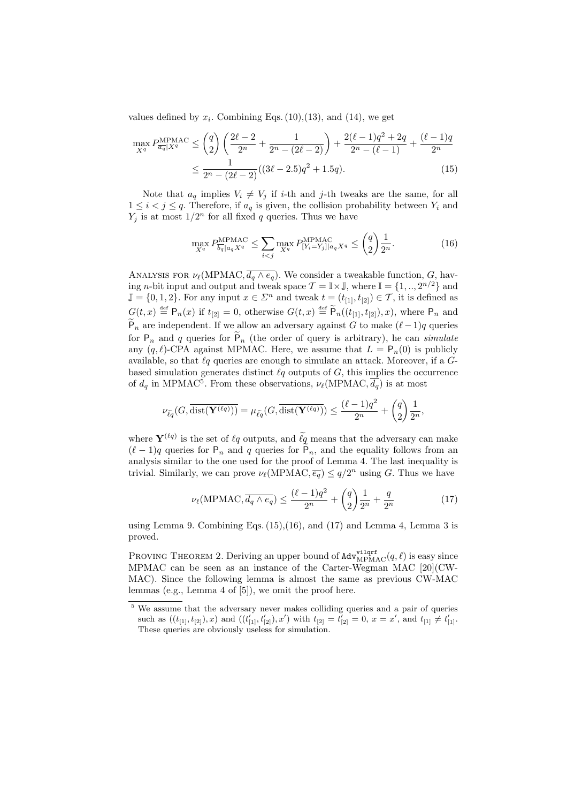values defined by  $x_i$ . Combining Eqs. (10), (13), and (14), we get

$$
\max_{X^q} P_{\overline{a_q}|X^q}^{\text{MPMAC}} \le {q \choose 2} \left( \frac{2\ell - 2}{2^n} + \frac{1}{2^n - (2\ell - 2)} \right) + \frac{2(\ell - 1)q^2 + 2q}{2^n - (\ell - 1)} + \frac{(\ell - 1)q}{2^n} \le \frac{1}{2^n - (2\ell - 2)} ((3\ell - 2.5)q^2 + 1.5q). \tag{15}
$$

Note that  $a_q$  implies  $V_i \neq V_j$  if *i*-th and *j*-th tweaks are the same, for all  $1 \leq i < j \leq q$ . Therefore, if  $a_q$  is given, the collision probability between  $Y_i$  and  $Y_j$  is at most  $1/2^n$  for all fixed q queries. Thus we have

$$
\max_{X^q} P^{\text{MPMAC}}_{\overline{b_q} | a_q X^q} \le \sum_{i < j} \max_{X^q} P^{\text{MPMAC}}_{[Y_i = Y_j] | a_q X^q} \le \binom{q}{2} \frac{1}{2^n}.\tag{16}
$$

ANALYSIS FOR  $\nu_{\ell}(\text{MPMAC}, \overline{d_q \wedge e_q})$ . We consider a tweakable function, G, having *n*-bit input and output and tweak space  $\mathcal{T} = \mathbb{I} \times \mathbb{J}$ , where  $\mathbb{I} = \{1, ..., 2^{n/2}\}\$  and  $\mathbb{J} = \{0, 1, 2\}$ . For any input  $x \in \mathbb{Z}^n$  and tweak  $t = (t_{11}, t_{12}) \in \mathcal{T}$ , it is defined as  $G(t,x) \stackrel{\text{def}}{=} \mathsf{P}_n(x)$  if  $t_{[2]} = 0$ , otherwise  $G(t,x) \stackrel{\text{def}}{=} \widetilde{\mathsf{P}}_n((t_{[1]}, t_{[2]}), x)$ , where  $\mathsf{P}_n$  and  $\widetilde{P}_n$  are independent. If we allow an adversary against G to make  $(\ell - 1)q$  queries for  $P_n$  and q queries for  $P_n$  (the order of query is arbitrary), he can simulate any  $(q, \ell)$ -CPA against MPMAC. Here, we assume that  $L = P_n(0)$  is publicly available, so that  $\ell q$  queries are enough to simulate an attack. Moreover, if a  $G$ based simulation generates distinct  $\ell q$  outputs of  $G$ , this implies the occurrence of  $d_q$  in MPMAC<sup>5</sup>. From these observations,  $\nu_{\ell}$ (MPMAC,  $\overline{d_q}$ ) is at most

$$
\nu_{\widetilde{\ell q}}(G, \overline{\mathrm{dist}(\mathbf{Y}^{(\ell q)}))} = \mu_{\widetilde{\ell q}}(G, \overline{\mathrm{dist}(\mathbf{Y}^{(\ell q)})}) \le \frac{(\ell-1)q^2}{2^n} + \binom{q}{2} \frac{1}{2^n},
$$

where  $\mathbf{Y}^{(\ell q)}$  is the set of  $\ell q$  outputs, and  $\widetilde{\ell q}$  means that the adversary can make  $(\ell - 1)q$  queries for P<sub>n</sub> and q queries for P<sub>n</sub>, and the equality follows from an analysis similar to the one used for the proof of Lemma 4. The last inequality is trivial. Similarly, we can prove  $\nu_{\ell}(\text{MPMAC}, \overline{e_q}) \leq q/2^n$  using G. Thus we have

$$
\nu_{\ell}(\text{MPMAC}, \overline{d_q \wedge e_q}) \le \frac{(\ell - 1)q^2}{2^n} + \binom{q}{2} \frac{1}{2^n} + \frac{q}{2^n} \tag{17}
$$

using Lemma 9. Combining Eqs.  $(15)$ ,  $(16)$ , and  $(17)$  and Lemma 4, Lemma 3 is proved.

PROVING THEOREM 2. Deriving an upper bound of  $\text{Adv}_{\text{MPMAC}}^{\text{vilqrt}}(q, \ell)$  is easy since MPMAC can be seen as an instance of the Carter-Wegman MAC [20](CW-MAC). Since the following lemma is almost the same as previous CW-MAC lemmas (e.g., Lemma 4 of [5]), we omit the proof here.

<sup>5</sup> We assume that the adversary never makes colliding queries and a pair of queries such as  $((t_{[1]}, t_{[2]}), x)$  and  $((t'_{[1]}, t'_{[2]}), x')$  with  $t_{[2]} = t'_{[2]} = 0, x = x'$ , and  $t_{[1]} \neq t'_{[1]}$ . These queries are obviously useless for simulation.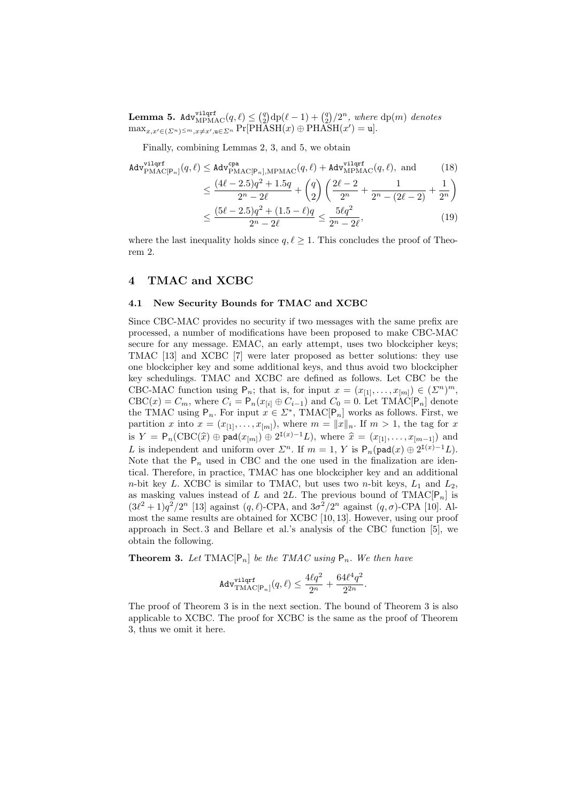${\rm \bf Lemma ~5. ~Adv}_{\rm MPMAC}^{\rm vilqrf}(q,\ell) \leq$  $\binom{q}{2}$  $\frac{dq}{2}$ ¢  $/2^n$ , where dp(m) denotes  $\max_{x,x'\in(\Sigma^n)^{\leq m},x\neq x',u\in\Sigma^n} \Pr[\text{PHAST}(x)\oplus\text{PHAST}(x')=u].$ 

Finally, combining Lemmas 2, 3, and 5, we obtain

$$
\begin{split} \n\text{Adv}_{\text{PMAC}[\text{P}_n]}^{\text{vilqrf}}(q,\ell) &\leq \text{Adv}_{\text{PMAC}[\text{P}_n], \text{MPMAC}}^{\text{cpa}}(q,\ell) + \text{Adv}_{\text{MPMAC}}^{\text{vilqrf}}(q,\ell), \text{ and }\\ \n&\leq \frac{(4\ell - 2.5)q^2 + 1.5q}{2^n - 2\ell} + \binom{q}{2} \left( \frac{2\ell - 2}{2^n} + \frac{1}{2^n - (2\ell - 2)} + \frac{1}{2^n} \right) \\ \n&\leq \frac{(5\ell - 2.5)q^2 + (1.5 - \ell)q}{2^n - 2\ell} \leq \frac{5\ell q^2}{2^n - 2\ell}, \n\end{split} \tag{19}
$$

where the last inequality holds since  $q, \ell \geq 1$ . This concludes the proof of Theorem 2.

### 4 TMAC and XCBC

#### 4.1 New Security Bounds for TMAC and XCBC

Since CBC-MAC provides no security if two messages with the same prefix are processed, a number of modifications have been proposed to make CBC-MAC secure for any message. EMAC, an early attempt, uses two blockcipher keys; TMAC [13] and XCBC [7] were later proposed as better solutions: they use one blockcipher key and some additional keys, and thus avoid two blockcipher key schedulings. TMAC and XCBC are defined as follows. Let CBC be the CBC-MAC function using  $P_n$ ; that is, for input  $x = (x_{[1]}, \ldots, x_{[m]}) \in (\Sigma^n)^m$ ,  $CBC(x) = C_m$ , where  $C_i = P_n(x_{[i]} \oplus C_{i-1})$  and  $C_0 = 0$ . Let TMAC[P<sub>n</sub>] denote the TMAC using  $P_n$ . For input  $x \in \Sigma^*$ , TMAC $[P_n]$  works as follows. First, we partition x into  $x = (x_{[1]}, \ldots, x_{[m]})$ , where  $m = ||x||_n$ . If  $m > 1$ , the tag for x is  $Y = \mathsf{P}_n(\text{CBC}(\hat{x}) \oplus \text{pad}(x_{[m]}) \oplus 2^{\mathbf{I}(x)-1}L)$ , where  $\hat{x} = (x_{[1]}, \ldots, x_{[m-1]})$  and L is independent and uniform over  $\Sigma^n$ . If  $m = 1$ , Y is  $P_n(\text{pad}(x) \oplus 2^{I(x)-1}L)$ . Note that the  $P_n$  used in CBC and the one used in the finalization are identical. Therefore, in practice, TMAC has one blockcipher key and an additional *n*-bit key L. XCBC is similar to TMAC, but uses two *n*-bit keys,  $L_1$  and  $L_2$ , as masking values instead of L and 2L. The previous bound of  $\text{TMAC}[\mathsf{P}_n]$  is  $(3\ell^2+1)q^2/2^n$  [13] against  $(q,\ell)$ -CPA, and  $3\sigma^2/2^n$  against  $(q,\sigma)$ -CPA [10]. Almost the same results are obtained for XCBC [10, 13]. However, using our proof approach in Sect. 3 and Bellare et al.'s analysis of the CBC function [5], we obtain the following.

**Theorem 3.** Let TMAC $[P_n]$  be the TMAC using  $P_n$ . We then have

$$
\mathtt{Adv}_{\mathrm{TMAC[P}_n}^{\mathtt{vilqrf}}(q,\ell) \leq \frac{4\ell q^2}{2^n} + \frac{64\ell^4 q^2}{2^{2n}}.
$$

The proof of Theorem 3 is in the next section. The bound of Theorem 3 is also applicable to XCBC. The proof for XCBC is the same as the proof of Theorem 3, thus we omit it here.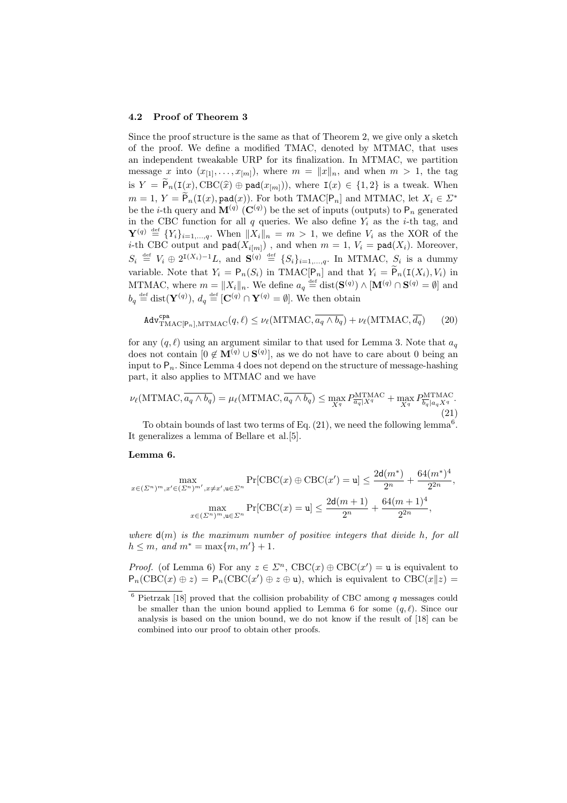#### 4.2 Proof of Theorem 3

Since the proof structure is the same as that of Theorem 2, we give only a sketch of the proof. We define a modified TMAC, denoted by MTMAC, that uses an independent tweakable URP for its finalization. In MTMAC, we partition message x into  $(x_{[1]}, \ldots, x_{[m]})$ , where  $m = ||x||_n$ , and when  $m > 1$ , the tag is  $Y = \widetilde{P}_n(I(x), \text{CBC}(\widehat{x}) \oplus \text{pad}(x_{[m]})),$  where  $I(x) \in \{1,2\}$  is a tweak. When  $m = 1, Y = \widetilde{P}_n(\mathbf{I}(x), \texttt{pad}(x)).$  For both TMAC $[P_n]$  and MTMAC, let  $X_i \in \mathcal{L}^*$ be the *i*-th query and  $\mathbf{M}^{(q)}$  ( $\mathbf{C}^{(q)}$ ) be the set of inputs (outputs) to  $P_n$  generated in the CBC function for all  $q$  queries. We also define  $Y_i$  as the *i*-th tag, and  $\mathbf{Y}^{(q)} \stackrel{\text{def}}{=} \{Y_i\}_{i=1,\ldots,q}$ . When  $||X_i||_n = m > 1$ , we define  $V_i$  as the XOR of the *i*-th CBC output and  $\text{pad}(X_{i[m]})$ , and when  $m = 1$ ,  $V_i = \text{pad}(X_i)$ . Moreover,  $S_i \stackrel{\text{def}}{=} V_i \oplus 2^{I(X_i)-1}L$ , and  $S^{(q)} \stackrel{\text{def}}{=} \{S_i\}_{i=1,\dots,q}$ . In MTMAC,  $S_i$  is a dummy variable. Note that  $Y_i = \mathsf{P}_n(S_i)$  in TMAC $[\mathsf{P}_n]$  and that  $Y_i = \widetilde{\mathsf{P}}_n(\mathsf{I}(X_i), V_i)$  in MTMAC, where  $m = ||X_i||_n$ . We define  $a_q \stackrel{\text{def}}{=} \text{dist}(\mathbf{S}^{(q)}) \wedge [\mathbf{M}^{(q)} \cap \mathbf{S}^{(q)} = \emptyset]$  and  $b_q \stackrel{\text{def}}{=} \text{dist}(\mathbf{Y}^{(q)}), d_q \stackrel{\text{def}}{=} [\mathbf{C}^{(q)} \cap \mathbf{Y}^{(q)} = \emptyset].$  We then obtain

$$
\text{Adv}_{\text{TMAC}[\mathsf{P}_n], \text{MTMAC}}^{\text{cpa}}(q, \ell) \le \nu_{\ell}(\text{MTMAC}, \overline{a_q \wedge b_q}) + \nu_{\ell}(\text{MTMAC}, \overline{d_q}) \tag{20}
$$

for any  $(q, \ell)$  using an argument similar to that used for Lemma 3. Note that  $a_q$ does not contain  $[0 \notin M^{(q)} \cup S^{(q)}]$ , as we do not have to care about 0 being an input to  $P_n$ . Since Lemma 4 does not depend on the structure of message-hashing part, it also applies to MTMAC and we have

$$
\nu_{\ell}(\text{MTMAC}, \overline{a_q \wedge b_q}) = \mu_{\ell}(\text{MTMAC}, \overline{a_q \wedge b_q}) \le \max_{X^q} P_{\overline{a_q}|X^q}^{\text{MTMAC}} + \max_{X^q} P_{\overline{b_q}|a_qX^q}^{\text{MTMAC}}.
$$
\n(21)

To obtain bounds of last two terms of Eq.  $(21)$ , we need the following lemma<sup>6</sup>. It generalizes a lemma of Bellare et al.[5].

### Lemma 6.

$$
\max_{x \in (\Sigma^n)^m, x' \in (\Sigma^n)^m', x \neq x', \mathbf{u} \in \Sigma^n} \Pr[\text{CBC}(x) \oplus \text{CBC}(x') = \mathbf{u}] \le \frac{2\mathbf{d}(m^*)}{2^n} + \frac{64(m^*)^4}{2^{2n}},
$$

$$
\max_{x \in (\Sigma^n)^m, \mathbf{u} \in \Sigma^n} \Pr[\text{CBC}(x) = \mathbf{u}] \le \frac{2\mathbf{d}(m+1)}{2^n} + \frac{64(m+1)^4}{2^{2n}},
$$

where  $d(m)$  is the maximum number of positive integers that divide h, for all  $h \leq m$ , and  $m^* = \max\{m, m'\} + 1$ .

*Proof.* (of Lemma 6) For any  $z \in \mathbb{Z}^n$ ,  $\text{CBC}(x) \oplus \text{CBC}(x') = \mathbf{u}$  is equivalent to  $P_n(\text{CBC}(x) \oplus z) = P_n(\text{CBC}(x') \oplus z \oplus u)$ , which is equivalent to CBC( $x||z$ ) =

 $6$  Pietrzak [18] proved that the collision probability of CBC among  $q$  messages could be smaller than the union bound applied to Lemma 6 for some  $(q, \ell)$ . Since our analysis is based on the union bound, we do not know if the result of [18] can be combined into our proof to obtain other proofs.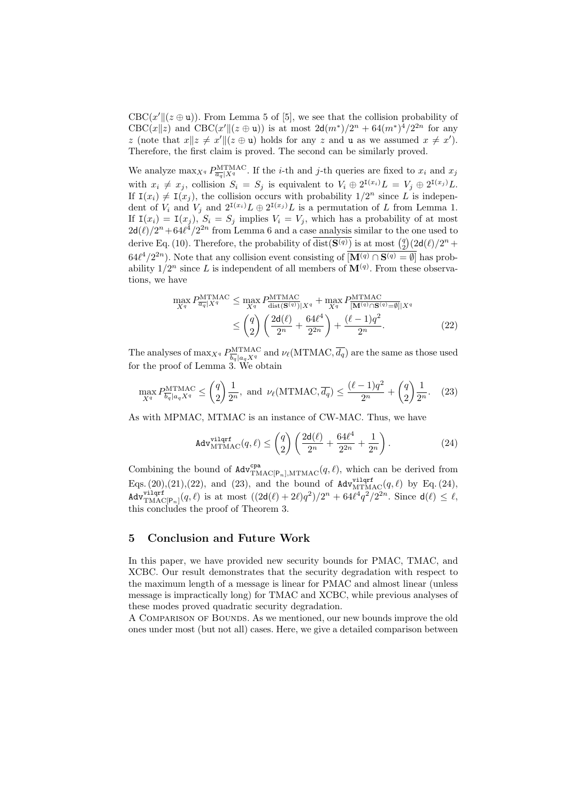$CBC(x' || (z \oplus u))$ . From Lemma 5 of [5], we see that the collision probability of CBC(x||z) and CBC(x'||(z ⊕ u)) is at most  $2d(m^*)/2^n + 64(m^*)^4/2^{2n}$  for any z (note that  $x||z \neq x'||(z \oplus u)$  holds for any z and u as we assumed  $x \neq x'$ ). Therefore, the first claim is proved. The second can be similarly proved.

We analyze  $\max_{X^q} P^{\text{MTMAC}}_{\overline{a_q}|X^q}$ . If the *i*-th and *j*-th queries are fixed to  $x_i$  and  $x_j$ with  $x_i \neq x_j$ , collision  $S_i = S_j$  is equivalent to  $V_i \oplus 2^{I(x_i)}L = V_j \oplus 2^{I(x_j)}L$ . If  $I(x_i) \neq I(x_j)$ , the collision occurs with probability  $1/2^n$  since L is independent of  $V_i$  and  $V_j$  and  $2^{I(x_i)}L \oplus 2^{I(x_j)}L$  is a permutation of L from Lemma 1. If  $I(x_i) = I(x_j)$ ,  $S_i = S_j$  implies  $V_i = V_j$ , which has a probability of at most  $2d(\ell)/2^n + 64\ell^4/2^{2n}$  from Lemma 6 and a case analysis similar to the one used to  $2a(t)/2$  +  $64t$  /2 hom behind 0 and a case analysis similar to the one used to derive Eq. (10). Therefore, the probability of  $\overline{dist(S^{(q)})}$  is at most  $\binom{q}{2}(2d(\ell)/2^n +$  $64\ell^4/2^{2n}$ ). Note that any collision event consisting of  $\overline{[M^{(q)} \cap S^{(q)} = \emptyset]}$  has probability  $1/2^n$  since L is independent of all members of  $\mathbf{M}^{(q)}$ . From these observations, we have

$$
\max_{X^q} P_{\overline{a_q}|X^q}^{\text{MTMAC}} \le \max_{X^q} P_{\text{dist}(\mathbf{S}^{(q)})|X^q}^{\text{MTMAC}} + \max_{X^q} P_{\overline{[\mathbf{M}^{(q)} \cap \mathbf{S}^{(q)} = \emptyset]}|X^q}^{\text{MTMAC}} \n\le \binom{q}{2} \left( \frac{2\mathsf{d}(\ell)}{2^n} + \frac{64\ell^4}{2^{2n}} \right) + \frac{(\ell-1)q^2}{2^n}.
$$
\n(22)

The analyses of  $\max_{X^q} P^{\text{MTMAC}}_{\overline{b_q} | a_q X^q}$  and  $\nu_\ell(\text{MTMAC}, \overline{d_q})$  are the same as those used for the proof of Lemma 3. We obtain

$$
\max_{X^q} P_{\overline{b_q} | a_q X^q}^{\text{MTMAC}} \le \binom{q}{2} \frac{1}{2^n}, \text{ and } \nu_\ell(\text{MTMAC}, \overline{d_q}) \le \frac{(\ell - 1)q^2}{2^n} + \binom{q}{2} \frac{1}{2^n}. \tag{23}
$$

As with MPMAC, MTMAC is an instance of CW-MAC. Thus, we have

$$
\text{Adv}_{\text{MTMAC}}^{\text{vilqrf}}(q,\ell) \le \binom{q}{2} \left( \frac{2\mathsf{d}(\ell)}{2^n} + \frac{64\ell^4}{2^{2n}} + \frac{1}{2^n} \right). \tag{24}
$$

Combining the bound of  $\text{Adv}_{\text{TMAC}[P_n],\text{MTMAC}}^{\text{cpa}}(q, \ell)$ , which can be derived from Eqs. (20),(21),(22), and (23), and the bound of  $\text{Adv}_{\text{MTMAC}}^{\text{vilqrf}}(q, \ell)$  by Eq. (24),  $\text{Adv}^{\text{vilqrf}}_{\text{TMAC}[P_n]}(q, \ell)$  is at most  $((2\mathsf{d}(\ell) + 2\ell)q^2)/2^n + 64\ell^4q^2/2^{2n}$ . Since  $\mathsf{d}(\ell) \leq \ell$ , this concludes the proof of Theorem 3.

# 5 Conclusion and Future Work

In this paper, we have provided new security bounds for PMAC, TMAC, and XCBC. Our result demonstrates that the security degradation with respect to the maximum length of a message is linear for PMAC and almost linear (unless message is impractically long) for TMAC and XCBC, while previous analyses of these modes proved quadratic security degradation.

A Comparison of Bounds. As we mentioned, our new bounds improve the old ones under most (but not all) cases. Here, we give a detailed comparison between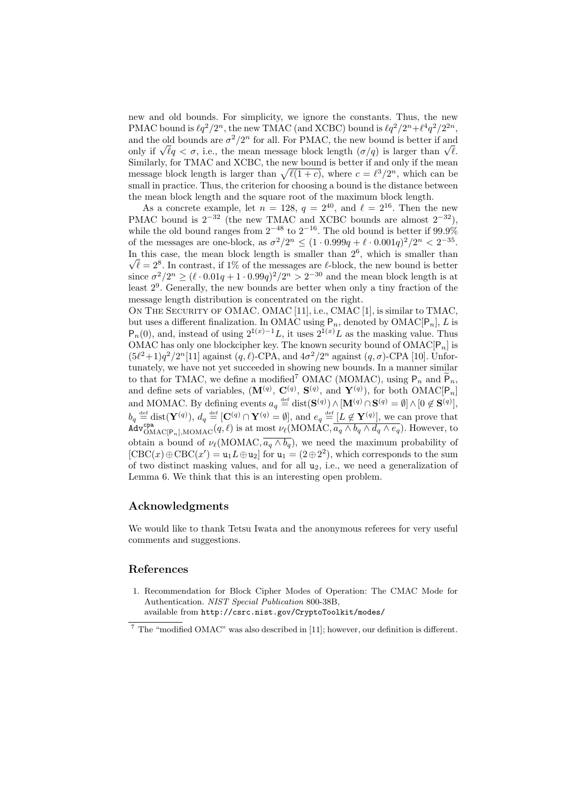new and old bounds. For simplicity, we ignore the constants. Thus, the new PMAC bound is  $\ell q^2/2^n$ , the new TMAC (and XCBC) bound is  $\ell q^2/2^n + \ell^4 q^2/2^{2n}$ , and the old bounds are  $\sigma^2/2^n$  for all. For PMAC, the new bound is better if and and the old bounds are  $\sigma^2/2^{\alpha}$  for all. For PMAC, the new bound is better if and only if  $\sqrt{\ell}q < \sigma$ , i.e., the mean message block length  $(\sigma/q)$  is larger than  $\sqrt{\ell}$ . Similarly, for TMAC and XCBC, the new bound is better if and only if the mean Similarly, for TMAC and XCBC, the new bound is better if and only if the mean<br>message block length is larger than  $\sqrt{\ell(1+c)}$ , where  $c = \ell^3/2^n$ , which can be small in practice. Thus, the criterion for choosing a bound is the distance between the mean block length and the square root of the maximum block length.

As a concrete example, let  $n = 128$ ,  $q = 2^{40}$ , and  $\ell = 2^{16}$ . Then the new PMAC bound is  $2^{-32}$  (the new TMAC and XCBC bounds are almost  $2^{-32}$ ), while the old bound ranges from  $2^{-48}$  to  $2^{-16}$ . The old bound is better if 99.9% of the messages are one-block, as  $\sigma^2/2^n \leq (1 \cdot 0.999q + \ell \cdot 0.001q)^2/2^n < 2^{-35}$ . In this case, the mean block length is smaller than  $2^6$ , which is smaller than  $\overline{\ell} = 2^8$ . In contrast, if 1% of the messages are  $\ell$ -block, the new bound is better since  $\sigma^2/2^n \geq (\ell \cdot 0.01q + 1 \cdot 0.99q)^2/2^n > 2^{-30}$  and the mean block length is at least 2<sup>9</sup> . Generally, the new bounds are better when only a tiny fraction of the message length distribution is concentrated on the right.

ON THE SECURITY OF OMAC. OMAC [11], i.e., CMAC [1], is similar to TMAC, but uses a different finalization. In OMAC using  $P_n$ , denoted by OMAC $[P_n]$ , L is  $P_n(0)$ , and, instead of using  $2^{I(x)-1}L$ , it uses  $2^{I(x)}L$  as the masking value. Thus OMAC has only one blockcipher key. The known security bound of  $OMAC[P_n]$  is  $(5\ell^2+1)q^2/2^n[11]$  against  $(q, \ell)$ -CPA, and  $4\sigma^2/2^n$  against  $(q, \sigma)$ -CPA [10]. Unfortunately, we have not yet succeeded in showing new bounds. In a manner similar to that for TMAC, we define a modified<sup>7</sup> OMAC (MOMAC), using  $P_n$  and  $\widetilde{P}_n$ , and define sets of variables,  $(\mathbf{M}^{(q)}, \mathbf{C}^{(q)}, \mathbf{S}^{(q)}, \text{ and } \mathbf{Y}^{(q)})$ , for both  $\text{OMAC}[\mathsf{P}_n]$ and MOMAC. By defining events  $a_q \stackrel{\text{def}}{=} \text{dist}(\mathbf{S}^{(q)}) \wedge [\mathbf{M}^{(q)} \cap \mathbf{S}^{(q)} = \emptyset] \wedge [0 \notin \mathbf{S}^{(q)}],$  $b_q \stackrel{\text{def}}{=} \text{dist}(\mathbf{Y}^{(q)}), d_q \stackrel{\text{def}}{=} [\mathbf{C}^{(q)} \cap \mathbf{Y}^{(q)} = \emptyset], \text{ and } e_q \stackrel{\text{def}}{=} [L \not\in \mathbf{Y}^{(q)}], \text{ we can prove that}$  $\overline{A}_{\text{d}v_{\text{OMAC}}^{\text{cpa}}[P_n],\text{MOMAC}}(q, \ell)$  is at most  $\nu_{\ell}(\text{MOMAC}, \overline{a_q \wedge b_q \wedge d_q \wedge e_q})$ . However, to obtain a bound of  $\nu_{\ell}(\text{MOMAC}, \overline{a_q \wedge b_q})$ , we need the maximum probability of  $[CBC(x) \oplus CBC(x') = u_1 L \oplus u_2]$  for  $u_1 = (2 \oplus 2^2)$ , which corresponds to the sum of two distinct masking values, and for all  $u_2$ , i.e., we need a generalization of Lemma 6. We think that this is an interesting open problem.

# Acknowledgments

We would like to thank Tetsu Iwata and the anonymous referees for very useful comments and suggestions.

## References

1. Recommendation for Block Cipher Modes of Operation: The CMAC Mode for Authentication. NIST Special Publication 800-38B, available from http://csrc.nist.gov/CryptoToolkit/modes/

<sup>7</sup> The "modified OMAC" was also described in [11]; however, our definition is different.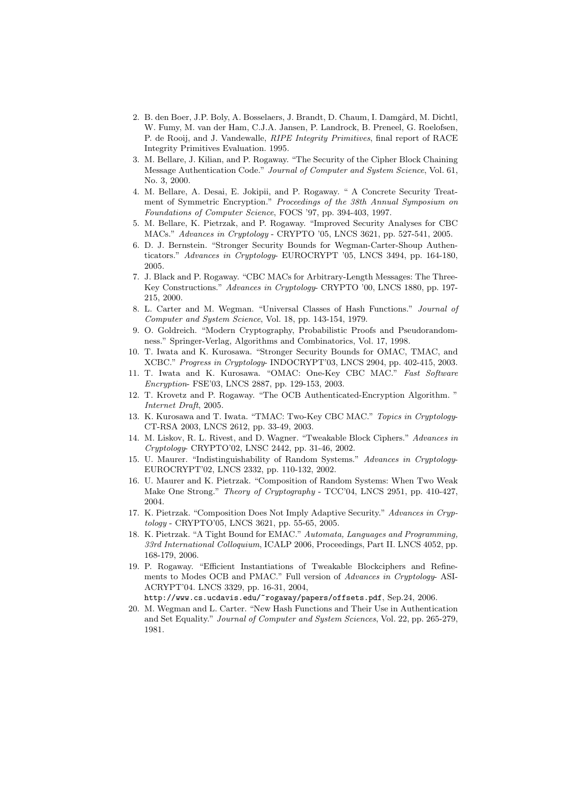- 2. B. den Boer, J.P. Boly, A. Bosselaers, J. Brandt, D. Chaum, I. Damgård, M. Dichtl, W. Fumy, M. van der Ham, C.J.A. Jansen, P. Landrock, B. Preneel, G. Roelofsen, P. de Rooij, and J. Vandewalle, RIPE Integrity Primitives, final report of RACE Integrity Primitives Evaluation. 1995.
- 3. M. Bellare, J. Kilian, and P. Rogaway. "The Security of the Cipher Block Chaining Message Authentication Code." Journal of Computer and System Science, Vol. 61, No. 3, 2000.
- 4. M. Bellare, A. Desai, E. Jokipii, and P. Rogaway. " A Concrete Security Treatment of Symmetric Encryption." Proceedings of the 38th Annual Symposium on Foundations of Computer Science, FOCS '97, pp. 394-403, 1997.
- 5. M. Bellare, K. Pietrzak, and P. Rogaway. "Improved Security Analyses for CBC MACs." Advances in Cryptology - CRYPTO '05, LNCS 3621, pp. 527-541, 2005.
- 6. D. J. Bernstein. "Stronger Security Bounds for Wegman-Carter-Shoup Authenticators." Advances in Cryptology- EUROCRYPT '05, LNCS 3494, pp. 164-180, 2005.
- 7. J. Black and P. Rogaway. "CBC MACs for Arbitrary-Length Messages: The Three-Key Constructions." Advances in Cryptology- CRYPTO '00, LNCS 1880, pp. 197- 215, 2000.
- 8. L. Carter and M. Wegman. "Universal Classes of Hash Functions." Journal of Computer and System Science, Vol. 18, pp. 143-154, 1979.
- 9. O. Goldreich. "Modern Cryptography, Probabilistic Proofs and Pseudorandomness." Springer-Verlag, Algorithms and Combinatorics, Vol. 17, 1998.
- 10. T. Iwata and K. Kurosawa. "Stronger Security Bounds for OMAC, TMAC, and XCBC." Progress in Cryptology- INDOCRYPT'03, LNCS 2904, pp. 402-415, 2003.
- 11. T. Iwata and K. Kurosawa. "OMAC: One-Key CBC MAC." Fast Software Encryption- FSE'03, LNCS 2887, pp. 129-153, 2003.
- 12. T. Krovetz and P. Rogaway. "The OCB Authenticated-Encryption Algorithm. " Internet Draft, 2005.
- 13. K. Kurosawa and T. Iwata. "TMAC: Two-Key CBC MAC." Topics in Cryptology-CT-RSA 2003, LNCS 2612, pp. 33-49, 2003.
- 14. M. Liskov, R. L. Rivest, and D. Wagner. "Tweakable Block Ciphers." Advances in Cryptology- CRYPTO'02, LNSC 2442, pp. 31-46, 2002.
- 15. U. Maurer. "Indistinguishability of Random Systems." Advances in Cryptology-EUROCRYPT'02, LNCS 2332, pp. 110-132, 2002.
- 16. U. Maurer and K. Pietrzak. "Composition of Random Systems: When Two Weak Make One Strong." Theory of Cryptography - TCC'04, LNCS 2951, pp. 410-427, 2004.
- 17. K. Pietrzak. "Composition Does Not Imply Adaptive Security." Advances in Cryptology - CRYPTO'05, LNCS 3621, pp. 55-65, 2005.
- 18. K. Pietrzak. "A Tight Bound for EMAC." Automata, Languages and Programming, 33rd International Colloquium, ICALP 2006, Proceedings, Part II. LNCS 4052, pp. 168-179, 2006.
- 19. P. Rogaway. "Efficient Instantiations of Tweakable Blockciphers and Refinements to Modes OCB and PMAC." Full version of Advances in Cryptology- ASI-ACRYPT'04. LNCS 3329, pp. 16-31, 2004,

http://www.cs.ucdavis.edu/~rogaway/papers/offsets.pdf, Sep.24, 2006.

20. M. Wegman and L. Carter. "New Hash Functions and Their Use in Authentication and Set Equality." Journal of Computer and System Sciences, Vol. 22, pp. 265-279, 1981.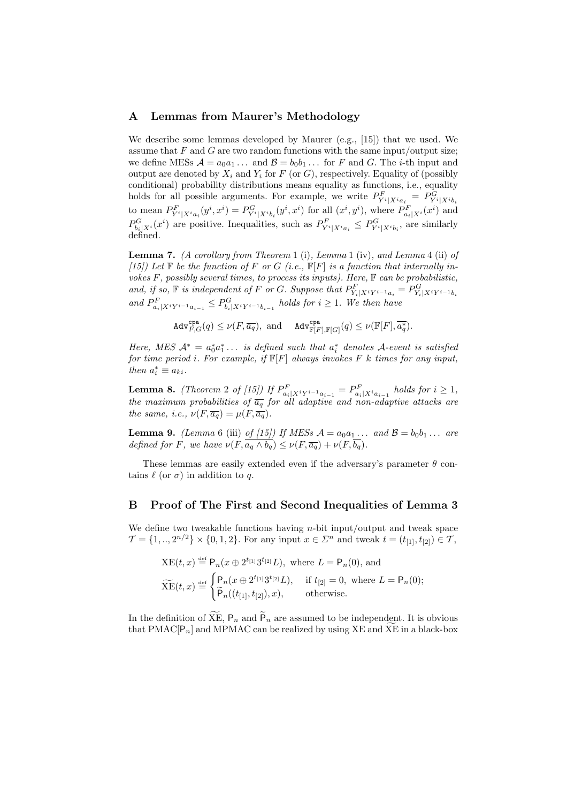### A Lemmas from Maurer's Methodology

We describe some lemmas developed by Maurer (e.g., [15]) that we used. We assume that  $F$  and  $G$  are two random functions with the same input/output size; we define MESs  $\mathcal{A} = a_0 a_1 \dots$  and  $\mathcal{B} = b_0 b_1 \dots$  for F and G. The *i*-th input and output are denoted by  $X_i$  and  $Y_i$  for F (or G), respectively. Equality of (possibly conditional) probability distributions means equality as functions, i.e., equality holds for all possible arguments. For example, we write  $P_{Y^{i}|X^{i}a_{i}}^{F} = P_{Y^{i}|X^{i}b_{i}}^{G}$ to mean  $P_{Y^{i}|X^{i}a_i}^{F}(y^{i},x^{i}) = P_{Y^{i}|X^{i}b_i}^{G}(y^{i},x^{i})$  for all  $(x^{i},y^{i})$ , where  $P_{a_i|X^{i}}^{F}(x^{i})$  and  $P_{b_i|X^i}^G(x^i)$  are positive. Inequalities, such as  $P_{Y^i|X^ia_i}^F \leq P_{Y^i|X^ib_i}^G$ , are similarly defined.

**Lemma 7.** (A corollary from Theorem 1 (i), Lemma 1 (iv), and Lemma 4 (ii) of [15]) Let  $\mathbb F$  be the function of F or G (i.e.,  $\mathbb F[F]$  is a function that internally invokes  $F$ , possibly several times, to process its inputs). Here,  $\mathbb F$  can be probabilistic, and, if so,  $\mathbb F$  is independent of F or G. Suppose that  $P^F_{Y_i|X^iY^{i-1}a_i} = P^G_{Y_i|X^iY^{i-1}b_i}$ and  $P_{a_i|X^iY^{i-1}a_{i-1}}^F \leq P_{b_i|X^iY^{i-1}b_{i-1}}^G$  holds for  $i \geq 1$ . We then have

 $\text{\rm Adv}_{F,G}^{\text{\rm{cpa}}} (q) \leq \nu(F, \overline{a_q}), \ \text{and} \ \ \text{\rm Adv}_{\mathbb{F}[F], \mathbb{F}[G]}^{\text{\rm{cpa}}} (q) \leq \nu(\mathbb{F}[F], \overline{a_q^*}).$ 

Here, MES  $A^* = a_0^* a_1^* \dots$  is defined such that  $a_i^*$  denotes A-event is satisfied for time period i. For example, if  $\mathbb{F}[F]$  always invokes F k times for any input, then  $a_i^* \equiv a_{ki}$ .

**Lemma 8.** (Theorem 2 of [15]) If  $P_{a_i|X^iY^{i-1}a_{i-1}}^F = P_{a_i|X^ia_{i-1}}^F$  holds for  $i \ge 1$ , the maximum probabilities of  $\overline{a_q}$  for all adaptive and non-adaptive attacks are the same, i.e.,  $\nu(F, \overline{a_q}) = \mu(F, \overline{a_q}).$ 

**Lemma 9.** (Lemma 6 (iii) of [15]) If MESs  $A = a_0 a_1 \dots$  and  $B = b_0 b_1 \dots$  are defined for F, we have  $\nu(F, \overline{a_q \wedge b_q}) \leq \nu(F, \overline{a_q}) + \nu(F, \overline{b_q}).$ 

These lemmas are easily extended even if the adversary's parameter  $\theta$  contains  $\ell$  (or  $\sigma$ ) in addition to q.

### B Proof of The First and Second Inequalities of Lemma 3

We define two tweakable functions having  $n$ -bit input/output and tweak space  $\mathcal{T} = \{1, ..., 2^{n/2}\} \times \{0, 1, 2\}$ . For any input  $x \in \mathbb{Z}^n$  and tweak  $t = (t_{1,1}, t_{2,1}) \in \mathcal{T}$ ,

$$
\begin{aligned} \n\text{XE}(t,x) & \stackrel{\text{def}}{=} \mathsf{P}_n(x \oplus 2^{t_{[1]}} 3^{t_{[2]}} L), \text{ where } L = \mathsf{P}_n(0), \text{ and} \\ \n\widetilde{\text{XE}}(t,x) & \stackrel{\text{def}}{=} \n\begin{cases} \n\mathsf{P}_n(x \oplus 2^{t_{[1]}} 3^{t_{[2]}} L), & \text{if } t_{[2]} = 0, \text{ where } L = \mathsf{P}_n(0); \\ \n\widetilde{\mathsf{P}}_n((t_{[1]}, t_{[2]}), x), & \text{otherwise.} \n\end{cases} \n\end{aligned}
$$

In the definition of  $\widetilde{XE}$ ,  $P_n$  and  $\widetilde{P}_n$  are assumed to be independent. It is obvious that PMAC $[P_n]$  and MPMAC can be realized by using XE and XE in a black-box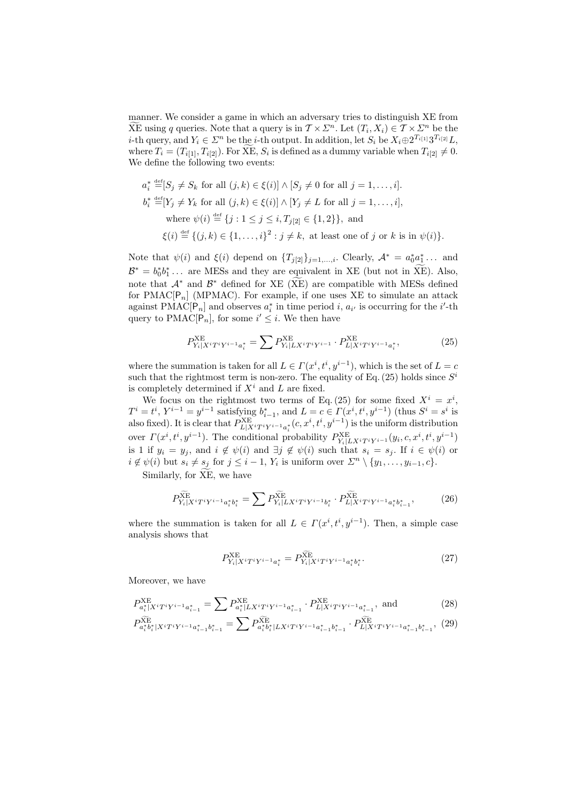manner. We consider a game in which an adversary tries to distinguish XE from  $\widetilde{X}E$  using q queries. Note that a query is in  $\mathcal{T} \times \mathbb{Z}^n$ . Let  $(T_i, X_i) \in \mathcal{T} \times \mathbb{Z}^n$  be the *i*-th query, and  $Y_i \in \mathbb{Z}^n$  be the *i*-th output. In addition, let  $S_i$  be  $X_i \oplus 2^{T_{i[1]}} 3^{T_{i[2]}} L$ , where  $T_i = (T_{i[1]}, T_{i[2]})$ . For  $\widetilde{XE}$ ,  $S_i$  is defined as a dummy variable when  $T_{i[2]} \neq 0$ . We define the following two events:

$$
a_i^* \stackrel{\text{def}}{=} [S_j \neq S_k \text{ for all } (j,k) \in \xi(i)] \land [S_j \neq 0 \text{ for all } j = 1, \dots, i].
$$
  
\n
$$
b_i^* \stackrel{\text{def}}{=} [Y_j \neq Y_k \text{ for all } (j,k) \in \xi(i)] \land [Y_j \neq L \text{ for all } j = 1, \dots, i],
$$
  
\nwhere  $\psi(i) \stackrel{\text{def}}{=} \{j : 1 \leq j \leq i, T_{j[2]} \in \{1, 2\}\},$  and  
\n $\xi(i) \stackrel{\text{def}}{=} \{(j,k) \in \{1, \dots, i\}^2 : j \neq k, \text{ at least one of } j \text{ or } k \text{ is in } \psi(i)\}.$ 

Note that  $\psi(i)$  and  $\xi(i)$  depend on  $\{T_{j[2]}\}_{j=1,\ldots,i}$ . Clearly,  $\mathcal{A}^* = a_0^* a_1^* \ldots$  and  $\mathcal{B}^* = b_0^* b_1^* \dots$  are MESs and they are equivalent in XE (but not in  $\widetilde{XE}$ ). Also, note that  $\mathcal{A}^*$  and  $\mathcal{B}^*$  defined for XE ( $\widetilde{XE}$ ) are compatible with MESs defined for PMAC $[P_n]$  (MPMAC). For example, if one uses XE to simulate an attack against PMAC[ $P_n$ ] and observes  $a_i^*$  in time period *i*,  $a_{i'}$  is occurring for the *i*'-th query to PMAC[ $P_n$ ], for some  $i' \leq i$ . We then have

$$
P_{Y_i|X^iT^iY^{i-1}a_i^*}^{XE} = \sum P_{Y_i|LX^iT^iY^{i-1}}^{XE} \cdot P_{L|X^iT^iY^{i-1}a_i^*}^{XE},
$$
 (25)

where the summation is taken for all  $L \in \Gamma(x^i, t^i, y^{i-1})$ , which is the set of  $L = c$ such that the rightmost term is non-zero. The equality of Eq. (25) holds since  $S<sup>i</sup>$ is completely determined if  $X^i$  and  $L$  are fixed.

We focus on the rightmost two terms of Eq. (25) for some fixed  $X^i = x^i$ ,  $T^i = t^i$ ,  $Y^{i-1} = y^{i-1}$  satisfying  $b_{i-1}^*$ , and  $L = c \in \Gamma(x^i, t^i, y^{i-1})$  (thus  $S^i = s^i$  is also fixed). It is clear that  $P^{\text{XE}}_{L|X^iT^iY^{i-1}a_i^*}(c, x^i, t^i, y^{i-1})$  is the uniform distribution over  $\Gamma(x^i, t^i, y^{i-1})$ . The conditional probability  $P^{\text{XE}}_{Y_i|L X^i T^i Y^{i-1}}(y_i, c, x^i, t^i, y^{i-1})$ is 1 if  $y_i = y_j$ , and  $i \notin \psi(i)$  and  $\exists j \notin \psi(i)$  such that  $s_i = s_j$ . If  $i \in \psi(i)$  or  $i \notin \psi(i)$  but  $s_i \neq s_j$  for  $j \leq i-1$ ,  $Y_i$  is uniform over  $\Sigma^n \setminus \{y_1, \ldots, y_{i-1}, c\}.$ 

Similarly, for  $\widetilde{XE}$ , we have

$$
P_{Y_i|X^iT^iY^{i-1}a_i^*b_i^*}^{\widetilde{X}} = \sum P_{Y_i|L X^iT^iY^{i-1}b_i^*}^{\widetilde{X}} \cdot P_{L|X^iT^iY^{i-1}a_i^*b_{i-1}^*}^{\widetilde{X}} ,\qquad (26)
$$

where the summation is taken for all  $L \in \Gamma(x^i, t^i, y^{i-1})$ . Then, a simple case analysis shows that

$$
P_{Y_i|X^iT^iY^{i-1}a_i^*}^{\text{XE}} = P_{Y_i|X^iT^iY^{i-1}a_i^*b_i^*}^{\text{XE}}.
$$
\n(27)

Moreover, we have

$$
P_{a_i^*|X^i T^i Y^{i-1} a_{i-1}^*}^{\text{XE}} = \sum P_{a_i^*|L X^i T^i Y^{i-1} a_{i-1}^*}^{\text{XE}} \cdot P_{L|X^i T^i Y^{i-1} a_{i-1}^*}^{\text{XE}}, \text{ and } (28)
$$

$$
P_{a_i^*b_i^*|X^iT^iY^{i-1}a_{i-1}^*b_{i-1}^*}^{\overbrace{\text{NE}}}\n = \sum_{a_i^*b_i^*|L X^iT^iY^{i-1}a_{i-1}^*b_{i-1}^*}^{\overbrace{\text{NE}}}\n \cdot P_{L|X^iT^iY^{i-1}a_{i-1}^*b_{i-1}^*}^{\overbrace{\text{NE}}}\n \cdot (29)
$$